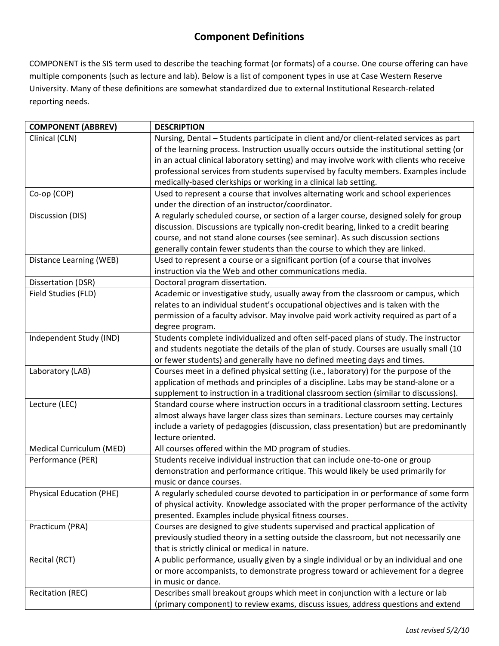## **Component Definitions**

COMPONENT is the SIS term used to describe the teaching format (or formats) of a course. One course offering can have multiple components (such as lecture and lab). Below is a list of component types in use at Case Western Reserve University. Many of these definitions are somewhat standardized due to external Institutional Research‐related reporting needs.

| <b>COMPONENT (ABBREV)</b>       | <b>DESCRIPTION</b>                                                                        |
|---------------------------------|-------------------------------------------------------------------------------------------|
| Clinical (CLN)                  | Nursing, Dental - Students participate in client and/or client-related services as part   |
|                                 | of the learning process. Instruction usually occurs outside the institutional setting (or |
|                                 | in an actual clinical laboratory setting) and may involve work with clients who receive   |
|                                 | professional services from students supervised by faculty members. Examples include       |
|                                 | medically-based clerkships or working in a clinical lab setting.                          |
| Co-op (COP)                     | Used to represent a course that involves alternating work and school experiences          |
|                                 | under the direction of an instructor/coordinator.                                         |
| Discussion (DIS)                | A regularly scheduled course, or section of a larger course, designed solely for group    |
|                                 | discussion. Discussions are typically non-credit bearing, linked to a credit bearing      |
|                                 | course, and not stand alone courses (see seminar). As such discussion sections            |
|                                 | generally contain fewer students than the course to which they are linked.                |
| Distance Learning (WEB)         | Used to represent a course or a significant portion (of a course that involves            |
|                                 | instruction via the Web and other communications media.                                   |
| Dissertation (DSR)              | Doctoral program dissertation.                                                            |
| Field Studies (FLD)             | Academic or investigative study, usually away from the classroom or campus, which         |
|                                 | relates to an individual student's occupational objectives and is taken with the          |
|                                 | permission of a faculty advisor. May involve paid work activity required as part of a     |
|                                 | degree program.                                                                           |
| Independent Study (IND)         | Students complete individualized and often self-paced plans of study. The instructor      |
|                                 | and students negotiate the details of the plan of study. Courses are usually small (10    |
|                                 | or fewer students) and generally have no defined meeting days and times.                  |
| Laboratory (LAB)                | Courses meet in a defined physical setting (i.e., laboratory) for the purpose of the      |
|                                 | application of methods and principles of a discipline. Labs may be stand-alone or a       |
|                                 | supplement to instruction in a traditional classroom section (similar to discussions).    |
| Lecture (LEC)                   | Standard course where instruction occurs in a traditional classroom setting. Lectures     |
|                                 | almost always have larger class sizes than seminars. Lecture courses may certainly        |
|                                 | include a variety of pedagogies (discussion, class presentation) but are predominantly    |
|                                 | lecture oriented.                                                                         |
| Medical Curriculum (MED)        | All courses offered within the MD program of studies.                                     |
| Performance (PER)               | Students receive individual instruction that can include one-to-one or group              |
|                                 | demonstration and performance critique. This would likely be used primarily for           |
|                                 | music or dance courses.                                                                   |
| <b>Physical Education (PHE)</b> | A regularly scheduled course devoted to participation in or performance of some form      |
|                                 | of physical activity. Knowledge associated with the proper performance of the activity    |
|                                 | presented. Examples include physical fitness courses.                                     |
| Practicum (PRA)                 | Courses are designed to give students supervised and practical application of             |
|                                 | previously studied theory in a setting outside the classroom, but not necessarily one     |
|                                 | that is strictly clinical or medical in nature.                                           |
| Recital (RCT)                   | A public performance, usually given by a single individual or by an individual and one    |
|                                 | or more accompanists, to demonstrate progress toward or achievement for a degree          |
|                                 | in music or dance.                                                                        |
| <b>Recitation (REC)</b>         | Describes small breakout groups which meet in conjunction with a lecture or lab           |
|                                 | (primary component) to review exams, discuss issues, address questions and extend         |